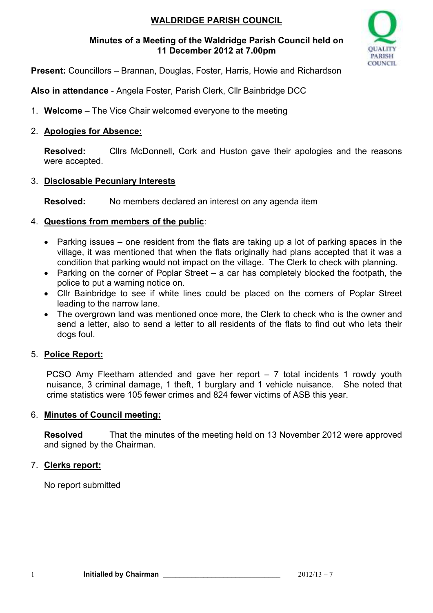# **WALDRIDGE PARISH COUNCIL**

### **Minutes of a Meeting of the Waldridge Parish Council held on 11 December 2012 at 7.00pm**



**Present:** Councillors – Brannan, Douglas, Foster, Harris, Howie and Richardson

**Also in attendance** - Angela Foster, Parish Clerk, Cllr Bainbridge DCC

1. **Welcome** – The Vice Chair welcomed everyone to the meeting

## 2. **Apologies for Absence:**

**Resolved:** Cllrs McDonnell, Cork and Huston gave their apologies and the reasons were accepted.

## 3. **Disclosable Pecuniary Interests**

**Resolved:** No members declared an interest on any agenda item

# 4. **Questions from members of the public**:

- Parking issues one resident from the flats are taking up a lot of parking spaces in the village, it was mentioned that when the flats originally had plans accepted that it was a condition that parking would not impact on the village. The Clerk to check with planning.
- Parking on the corner of Poplar Street a car has completely blocked the footpath, the police to put a warning notice on.
- Cllr Bainbridge to see if white lines could be placed on the corners of Poplar Street leading to the narrow lane.
- The overgrown land was mentioned once more, the Clerk to check who is the owner and send a letter, also to send a letter to all residents of the flats to find out who lets their dogs foul.

# 5. **Police Report:**

PCSO Amy Fleetham attended and gave her report – 7 total incidents 1 rowdy youth nuisance, 3 criminal damage, 1 theft, 1 burglary and 1 vehicle nuisance. She noted that crime statistics were 105 fewer crimes and 824 fewer victims of ASB this year.

### 6. **Minutes of Council meeting:**

**Resolved** That the minutes of the meeting held on 13 November 2012 were approved and signed by the Chairman.

# 7. **Clerks report:**

No report submitted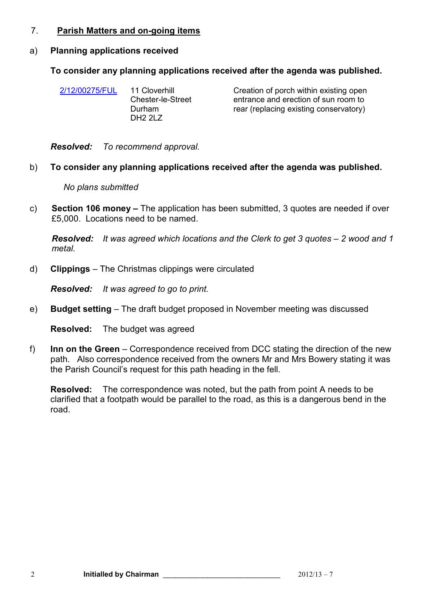#### 7. **Parish Matters and on-going items**

#### a) **Planning applications received**

#### **To consider any planning applications received after the agenda was published.**

| 2/12/00275/FUL | 11 Cloverhill<br><b>Chester-le-Street</b><br>Durham<br>DH2 2LZ | Creation of porch within existing open<br>entrance and erection of sun room to<br>rear (replacing existing conservatory) |
|----------------|----------------------------------------------------------------|--------------------------------------------------------------------------------------------------------------------------|
|                |                                                                |                                                                                                                          |

*Resolved: To recommend approval.*

#### b) **To consider any planning applications received after the agenda was published.**

*No plans submitted*

c) **Section 106 money –** The application has been submitted, 3 quotes are needed if over £5,000. Locations need to be named.

*Resolved: It was agreed which locations and the Clerk to get 3 quotes – 2 wood and 1 metal.*

d) **Clippings** – The Christmas clippings were circulated

*Resolved: It was agreed to go to print.*

e) **Budget setting** – The draft budget proposed in November meeting was discussed

**Resolved:** The budget was agreed

f) **Inn on the Green** – Correspondence received from DCC stating the direction of the new path. Also correspondence received from the owners Mr and Mrs Bowery stating it was the Parish Council's request for this path heading in the fell.

**Resolved:** The correspondence was noted, but the path from point A needs to be clarified that a footpath would be parallel to the road, as this is a dangerous bend in the road.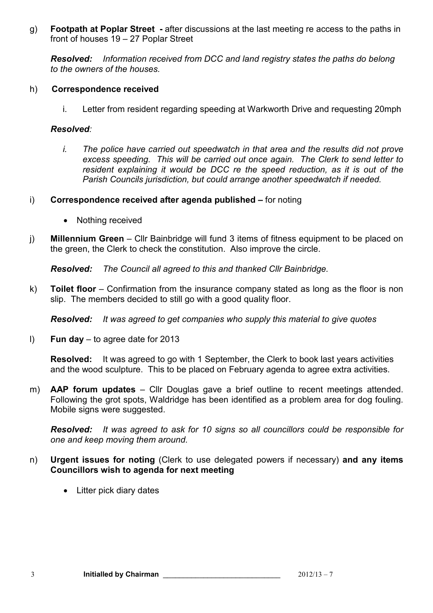g) **Footpath at Poplar Street -** after discussions at the last meeting re access to the paths in front of houses 19 – 27 Poplar Street

*Resolved: Information received from DCC and land registry states the paths do belong to the owners of the houses.* 

#### h) **Correspondence received**

i. Letter from resident regarding speeding at Warkworth Drive and requesting 20mph

### *Resolved:*

- *i. The police have carried out speedwatch in that area and the results did not prove excess speeding. This will be carried out once again. The Clerk to send letter to resident explaining it would be DCC re the speed reduction, as it is out of the Parish Councils jurisdiction, but could arrange another speedwatch if needed.*
- i) **Correspondence received after agenda published –** for noting
	- Nothing received
- j) **Millennium Green**  Cllr Bainbridge will fund 3 items of fitness equipment to be placed on the green, the Clerk to check the constitution. Also improve the circle.

*Resolved: The Council all agreed to this and thanked Cllr Bainbridge.*

k) **Toilet floor** – Confirmation from the insurance company stated as long as the floor is non slip. The members decided to still go with a good quality floor.

*Resolved: It was agreed to get companies who supply this material to give quotes*

l) **Fun day** – to agree date for 2013

**Resolved:** It was agreed to go with 1 September, the Clerk to book last years activities and the wood sculpture. This to be placed on February agenda to agree extra activities.

m) **AAP forum updates** – Cllr Douglas gave a brief outline to recent meetings attended. Following the grot spots, Waldridge has been identified as a problem area for dog fouling. Mobile signs were suggested.

*Resolved: It was agreed to ask for 10 signs so all councillors could be responsible for one and keep moving them around.*

- n) **Urgent issues for noting** (Clerk to use delegated powers if necessary) **and any items Councillors wish to agenda for next meeting** 
	- Litter pick diary dates